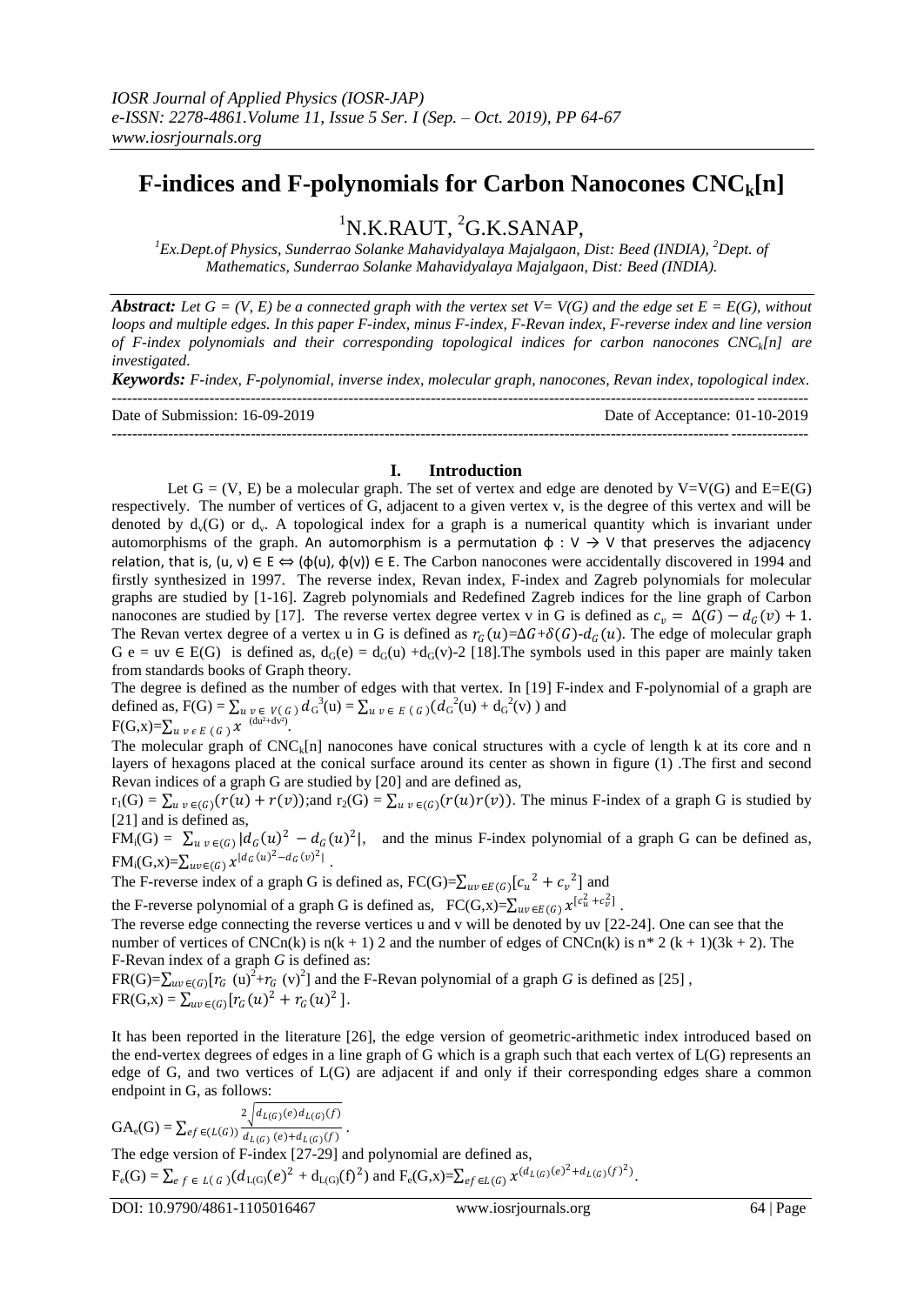# **F-indices and F-polynomials for Carbon Nanocones CNCk[n]**

<sup>1</sup>N.K.RAUT, <sup>2</sup>G.K.SANAP,

*<sup>1</sup>Ex.Dept.of Physics, Sunderrao Solanke Mahavidyalaya Majalgaon, Dist: Beed (INDIA), <sup>2</sup>Dept. of Mathematics, Sunderrao Solanke Mahavidyalaya Majalgaon, Dist: Beed (INDIA).*

*Abstract: Let G = (V, E) be a connected graph with the vertex set V= V(G) and the edge set E = E(G), without loops and multiple edges. In this paper F-index, minus F-index, F-Revan index, F-reverse index and line version of F-index polynomials and their corresponding topological indices for carbon nanocones CNCk[n] are investigated.*

*Keywords: F-index, F-polynomial, inverse index, molecular graph, nanocones, Revan index, topological index.* 

--------------------------------------------------------------------------------------------------------------------------------------- Date of Submission: 16-09-2019 Date of Acceptance: 01-10-2019 ---------------------------------------------------------------------------------------------------------------------------------------

**I. Introduction**

Let  $G = (V, E)$  be a molecular graph. The set of vertex and edge are denoted by  $V=V(G)$  and  $E=E(G)$ respectively. The number of vertices of G, adjacent to a given vertex v, is the degree of this vertex and will be denoted by  $d_v(G)$  or  $d_v$ . A topological index for a graph is a numerical quantity which is invariant under automorphisms of the graph. An automorphism is a permutation  $\phi : V \rightarrow V$  that preserves the adjacency relation, that is,  $(u, v) \in E \Leftrightarrow (\phi(u), \phi(v)) \in E$ . The Carbon nanocones were accidentally discovered in 1994 and firstly synthesized in 1997. The reverse index, Revan index, F-index and Zagreb polynomials for molecular graphs are studied by [1-16]. Zagreb polynomials and Redefined Zagreb indices for the line graph of Carbon nanocones are studied by [17]. The reverse vertex degree vertex v in G is defined as  $c_v = \Delta(G) - d_G(v) + 1$ . The Revan vertex degree of a vertex u in G is defined as  $r_G(u) = \Delta G + \delta(G) - d_G(u)$ . The edge of molecular graph G e = uv  $\in$  E(G) is defined as, d<sub>G</sub>(e) = d<sub>G</sub>(u) +d<sub>G</sub>(v)-2 [18]. The symbols used in this paper are mainly taken from standards books of Graph theory.

The degree is defined as the number of edges with that vertex. In [19] F-index and F-polynomial of a graph are defined as,  $F(G) = \sum_{u \ v \in V(G)} d_G^{3}(u) = \sum_{u \ v \in E(G)} (d_G^{2}(u) + d_G^{2}(v))$  and  $F(G,x)=\sum_{u,v \in E(G)} x^{-(du^2+dv^2)}.$ 

The molecular graph of  $CNC_k[n]$  nanocones have conical structures with a cycle of length k at its core and n layers of hexagons placed at the conical surface around its center as shown in figure (1) .The first and second Revan indices of a graph G are studied by [20] and are defined as,

 $r_1(G) = \sum_{u \ v \in (G)} (r(u) + r(v))$ ;and  $r_2(G) = \sum_{u \ v \in (G)} (r(u)r(v))$ . The minus F-index of a graph G is studied by [21] and is defined as,

 $FM_i(G) = \sum_{u \ v \in (G)} |d_G(u)|^2 - d_G(u)^2$ , and the minus F-index polynomial of a graph G can be defined as,  $FM_i(G,x)=\sum_{uv\in(G)}x^{|d_G(u)^2-d_G(v)^2|}$ .

The F-reverse index of a graph G is defined as,  $FC(G)=\sum_{uv\in E(G)}[c_u^2+c_v^2]$  and

the F-reverse polynomial of a graph G is defined as,  $FC(G,x)=\sum_{uv\in E(G)} x^{[c_u^2+c_v^2]}$ .

The reverse edge connecting the reverse vertices u and v will be denoted by uv [22-24]. One can see that the number of vertices of CNCn(k) is n(k + 1) 2 and the number of edges of CNCn(k) is n\* 2 (k + 1)(3k + 2). The F-Revan index of a graph *G* is defined as:

 $FR(G) = \sum_{uv \in (G)} [r_G(u)^2 + r_G(v)^2]$  and the F-Revan polynomial of a graph *G* is defined as [25],  $FR(G, x) = \sum_{uv \in (G)} [r_G(u)^2 + r_G(u)^2].$ 

It has been reported in the literature [26], the edge version of geometric-arithmetic index introduced based on the end-vertex degrees of edges in a line graph of G which is a graph such that each vertex of L(G) represents an edge of G, and two vertices of L(G) are adjacent if and only if their corresponding edges share a common endpoint in G, as follows:

$$
GA_e(G) = \sum_{ef \in (L(G))} \frac{2 \sqrt{d_{L(G)}(e) d_{L(G)}(f)}}{d_{L(G)}(e) + d_{L(G)}(f)}.
$$
  
The edge version of F-index [27-29] and polynomial are defined as,  

$$
F_e(G) = \sum_{ef \in L(G)} (d_{L(G)}(e)^2 + d_{L(G)}(f)^2) \text{ and } F_e(G,x) = \sum_{ef \in L(G)} x^{(d_{L(G)}(e)^2 + d_{L(G)}(f)^2)}.
$$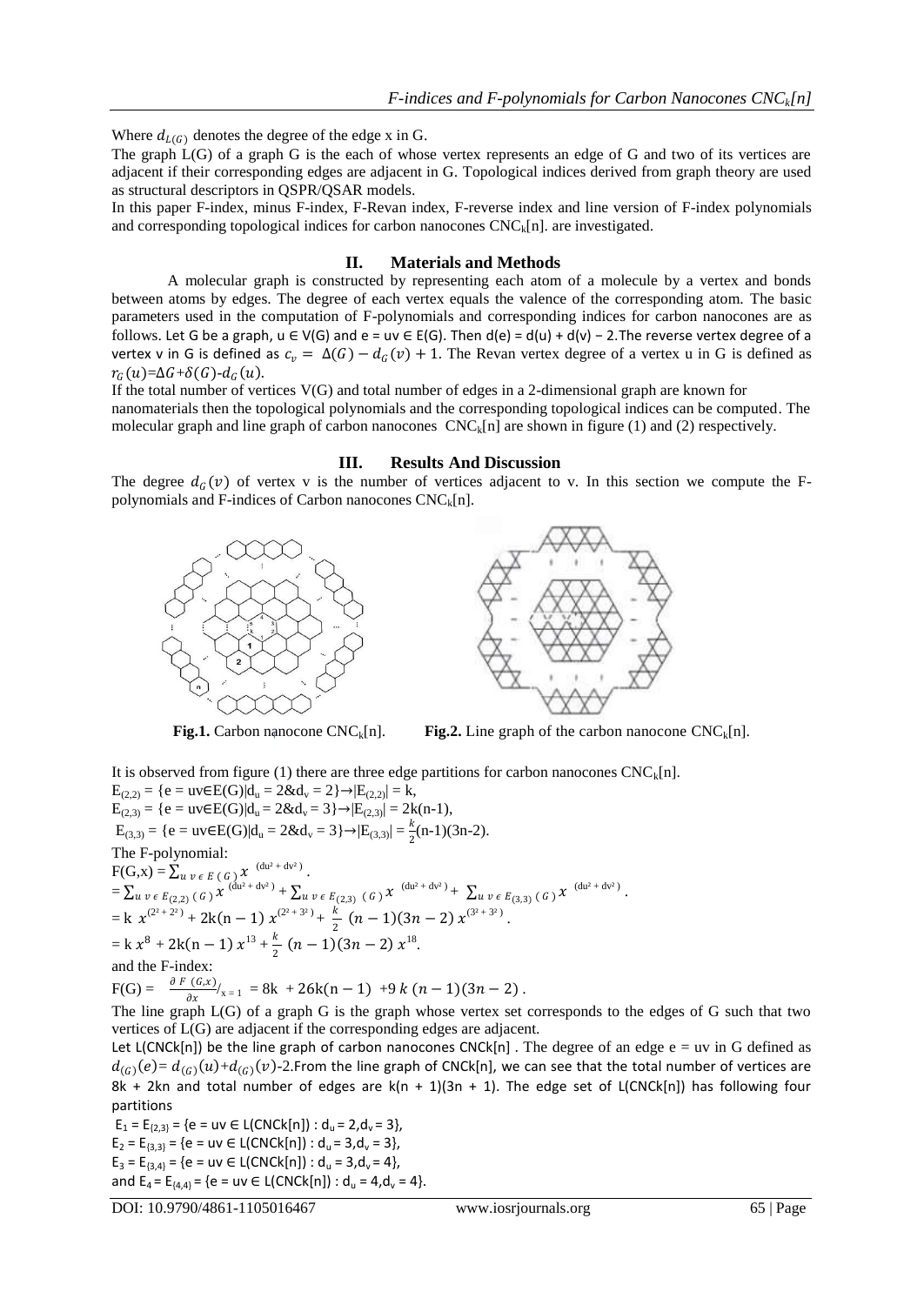Where  $d_{L(G)}$  denotes the degree of the edge x in G.

The graph L(G) of a graph G is the each of whose vertex represents an edge of G and two of its vertices are adjacent if their corresponding edges are adjacent in G. Topological indices derived from graph theory are used as structural descriptors in QSPR/QSAR models.

In this paper F-index, minus F-index, F-Revan index, F-reverse index and line version of F-index polynomials and corresponding topological indices for carbon nanocones  $CNC<sub>k</sub>[n]$ . are investigated.

# **II. Materials and Methods**

A molecular graph is constructed by representing each atom of a molecule by a vertex and bonds between atoms by edges. The degree of each vertex equals the valence of the corresponding atom. The basic parameters used in the computation of F-polynomials and corresponding indices for carbon nanocones are as follows. Let G be a graph,  $u \in V(G)$  and  $e = uv \in E(G)$ . Then  $d(e) = d(u) + d(v) - 2$ . The reverse vertex degree of a vertex v in G is defined as  $c_v = \Delta(G) - d_G(v) + 1$ . The Revan vertex degree of a vertex u in G is defined as  $r_G(u)=\Delta G+\delta(G)-d_G(u)$ .

If the total number of vertices V(G) and total number of edges in a 2-dimensional graph are known for nanomaterials then the topological polynomials and the corresponding topological indices can be computed. The molecular graph and line graph of carbon nanocones  $CNC<sub>k</sub>[n]$  are shown in figure (1) and (2) respectively.

### **III. Results And Discussion**

The degree  $d_G(v)$  of vertex v is the number of vertices adjacent to v. In this section we compute the Fpolynomials and F-indices of Carbon nanocones  $CNC_k[n]$ .





**Fig.1.** Carbon nanocone  $CNC_k[n]$ . **Fig.2.** Line graph of the carbon nanocone  $CNC_k[n]$ .

It is observed from figure (1) there are three edge partitions for carbon nanocones  $CNC_k[n]$ .  $E_{(2,2)} = \{e = uv \in E(G) | d_u = 2 \& d_v = 2 \} \rightarrow |E_{(2,2)}| = k,$  $E_{(2,3)} = \{e = uv \in E(G) | d_u = 2 \& d_v = 3\} \rightarrow |E_{(2,3)}| = 2k(n-1),$  $E_{(3,3)} = \{e = uv \in E(G) | d_u = 2 \& d_v = 3\} \rightarrow | E_{(3,3)} | = \frac{k}{2} (n-1) (3n-2).$ The F-polynomial:  $F(G,x) = \sum_{u \ v \ \epsilon \ E} (G) x^{(du^2 + dv^2)}.$  $= \sum_{u \; v \; \epsilon \; E_{(2,2)} \, (\; G \; )} \chi^{(\text{du}^2 + \text{dv}^2)} + \sum_{u \; v \; \epsilon \; E_{(2,3)} \, (\; G \; )} \chi^{(\text{du}^2 + \text{dv}^2)} + \sum_{u \; v \; \epsilon \; E_{(3,3)} \, (\; G \; )} \chi^{(\text{du}^2 + \text{dv}^2)} \,.$  $= k \ x^{(2^2 + 2^2)} + 2k(n - 1) x^{(2^2 + 3^2)} + \frac{k}{2^2}$  $\frac{\kappa}{2}(n-1)(3n-2)x^{(3^2+3^2)}$ .  $= k x^8 + 2k(n - 1) x^{13} + \frac{k}{2}$  $\frac{k}{2}(n-1)(3n-2) x^{18}.$ and the F-index:  $F(G) = \frac{\partial F(G,x)}{\partial x}|_{x=1} = 8k + 26k(n-1) + 9k(n-1)(3n-2).$ 

The line graph L(G) of a graph G is the graph whose vertex set corresponds to the edges of G such that two vertices of L(G) are adjacent if the corresponding edges are adjacent.

Let L(CNCk[n]) be the line graph of carbon nanocones CNCk[n]. The degree of an edge  $e = uv$  in G defined as  $d_{(G)}(e) = d_{(G)}(u) + d_{(G)}(v)$ -2.From the line graph of CNCk[n], we can see that the total number of vertices are 8k + 2kn and total number of edges are  $k(n + 1)(3n + 1)$ . The edge set of L(CNCk[n]) has following four partitions

 $E_1 = E_{\{2,3\}} = \{e = uv \in L(CNCk[n]) : d_u = 2, d_v = 3\},\$  $E_2 = E_{\{3,3\}} = \{e = uv \in L(CNCk[n]) : d_u = 3, d_v = 3\},\$  $E_3 = E_{\{3,4\}} = \{e = uv \in L(CNCk[n]) : d_u = 3, d_v = 4\},\$ and  $E_4 = E_{\{4,4\}} = \{e = uv \in L(CNCk[n]) : d_u = 4, d_v = 4\}.$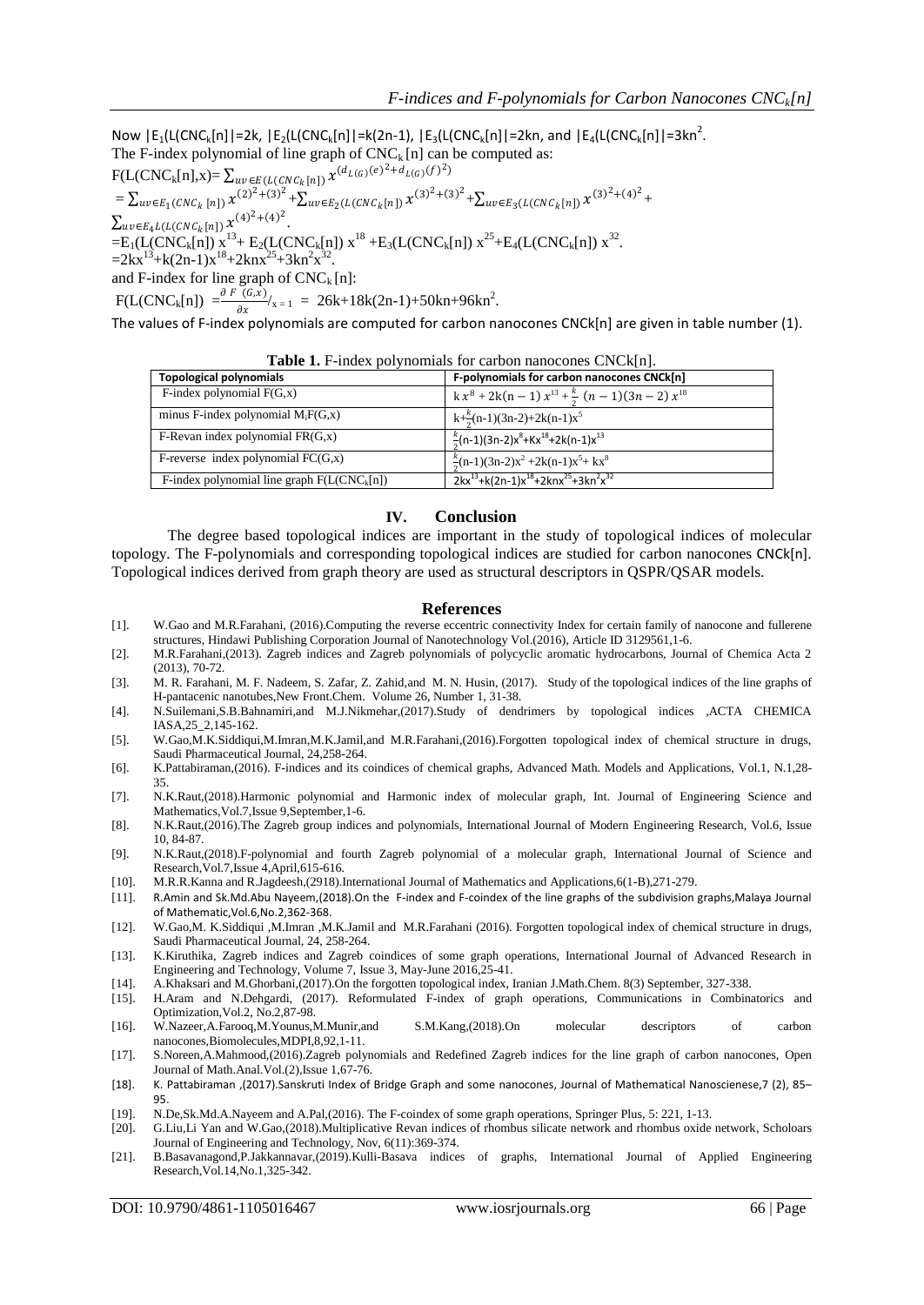Now  $|E_1(L(CNC_k[n)]| = 2k$ ,  $|E_2(L(CNC_k[n)]| = k(2n-1)$ ,  $|E_3(L(CNC_k[n)]| = 2kn$ , and  $|E_4(L(CNC_k[n)]| = 3kn^2$ . The F-index polynomial of line graph of  $CNC_k[n]$  can be computed as:

 $F(L(CNC_k[n],x)) = \sum_{uv \in E(L(CNC_k[n])} x^{(d_{L(G)}(e)^2 + d_{L(G)}(f)^2)}$  $=\sum_{uv\in E_1(CNC_k\,[n])}x^{(2)^2+(3)^2}+\sum_{uv\in E_2(L(CNC_k\,[n])}x^{(3)^2+(3)^2}+\sum_{uv\in E_3(L(CNC_k\,[n])}x^{(3)^2+(4)^2}+$  $\sum_{uv \in E_4} L(L(CNC_k[n]) \chi^{(4)^2 + (4)^2}.$  $=E_1(L(CNC_k[n]) x^{13}+E_2(L(CNC_k[n]) x^{18}+E_3(L(CNC_k[n]) x^{25}+E_4(L(CNC_k[n]) x^{32}$ .  $=2kx^{13}+k(2n-1)x^{18}+2knx^{25}+3kn^2x^{32}.$ and F-index for line graph of  $CNC_k[n]$ :  $F(L(CNC_k[n]) = \frac{\partial F(G,x)}{\partial x}$  $\frac{(6.5)}{\theta x}|_{x=1}$  = 26k+18k(2n-1)+50kn+96kn<sup>2</sup>.

The values of F-index polynomials are computed for carbon nanocones CNCk[n] are given in table number (1).

| <b>TWORE IT INGON</b> por indimate for early indirective criterial. |                                                                                   |  |  |
|---------------------------------------------------------------------|-----------------------------------------------------------------------------------|--|--|
| <b>Topological polynomials</b>                                      | F-polynomials for carbon nanocones CNCk[n]                                        |  |  |
| F-index polynomial $F(G,x)$                                         | $k x^8 + 2k(n-1) x^{13} + \frac{k}{2} (n-1)(3n-2) x^{18}$                         |  |  |
| minus F-index polynomial $M_iF(G,x)$                                | $k+\frac{k}{2}(n-1)(3n-2)+2k(n-1)x^5$                                             |  |  |
| F-Revan index polynomial $FR(G, x)$                                 | $\frac{k}{6}$ (n-1)(3n-2)x <sup>8</sup> +Kx <sup>18</sup> +2k(n-1)x <sup>13</sup> |  |  |
| F-reverse index polynomial $FC(G,x)$                                | $\frac{k}{2}$ (n-1)(3n-2)x <sup>2</sup> +2k(n-1)x <sup>5</sup> + kx <sup>8</sup>  |  |  |
| F-index polynomial line graph $F(L(CNC_k[n])$                       | $2kx^{13}+k(2n-1)x^{18}+2knx^{25}+3kn^2x^{32}$                                    |  |  |

| Table 1. F-index polynomials for carbon nanocones CNCk[n]. |  |  |
|------------------------------------------------------------|--|--|
|                                                            |  |  |

# **IV. Conclusion**

The degree based topological indices are important in the study of topological indices of molecular topology. The F-polynomials and corresponding topological indices are studied for carbon nanocones CNCk[n]. Topological indices derived from graph theory are used as structural descriptors in QSPR/QSAR models.

#### **References**

- [1]. W.Gao and M.R.Farahani, (2016).Computing the reverse eccentric connectivity Index for certain family of nanocone and fullerene structures, Hindawi Publishing Corporation Journal of Nanotechnology Vol.(2016), Article ID 3129561,1-6.
- [2]. M.R.Farahani,(2013). Zagreb indices and Zagreb polynomials of polycyclic aromatic hydrocarbons, Journal of Chemica Acta 2 (2013), 70-72.
- [3]. M. R. Farahani, M. F. Nadeem, S. Zafar, Z. Zahid,and M. N. Husin, (2017). Study of the topological indices of the line graphs of H-pantacenic nanotubes,New Front.Chem. Volume 26, Number 1, 31-38.
- [4]. N.Suilemani,S.B.Bahnamiri,and M.J.Nikmehar,(2017).Study of dendrimers by topological indices ,ACTA CHEMICA IASA,25\_2,145-162.
- [5]. W.Gao,M.K.Siddiqui,M.Imran,M.K.Jamil,and M.R.Farahani,(2016).Forgotten topological index of chemical structure in drugs, Saudi Pharmaceutical Journal, 24,258-264.
- [6]. K.Pattabiraman,(2016). F-indices and its coindices of chemical graphs, Advanced Math. Models and Applications, Vol.1, N.1,28- 35.
- [7]. N.K.Raut,(2018).Harmonic polynomial and Harmonic index of molecular graph, Int. Journal of Engineering Science and Mathematics,Vol.7,Issue 9,September,1-6.
- [8]. N.K.Raut,(2016).The Zagreb group indices and polynomials, International Journal of Modern Engineering Research, Vol.6, Issue 10, 84-87.
- [9]. N.K.Raut,(2018).F-polynomial and fourth Zagreb polynomial of a molecular graph, International Journal of Science and Research,Vol.7,Issue 4,April,615-616.
- [10]. M.R.R.Kanna and R.Jagdeesh,(2918).International Journal of Mathematics and Applications,6(1-B),271-279.
- [11]. R.Amin and Sk.Md.Abu Nayeem,(2018).On the F-index and F-coindex of the line graphs of the subdivision graphs,Malaya Journal of Mathematic,Vol.6,No.2,362-368.
- [12]. W.Gao,M. K.Siddiqui ,M.Imran ,M.K.Jamil and M.R.Farahani (2016). Forgotten topological index of chemical structure in drugs, Saudi Pharmaceutical Journal, 24, 258-264.
- [13]. K.Kiruthika, Zagreb indices and Zagreb coindices of some graph operations, International Journal of Advanced Research in Engineering and Technology, Volume 7, Issue 3, May-June 2016,25-41.
- [14]. A.Khaksari and M.Ghorbani,(2017).On the forgotten topological index, Iranian J.Math.Chem. 8(3) September, 327-338.
- [15]. H.Aram and N.Dehgardi, (2017). Reformulated F-index of graph operations, Communications in Combinatorics and Optimization,Vol.2, No.2,87-98.
- [16]. W.Nazeer,A.Farooq,M.Younus,M.Munir,and S.M.Kang,(2018).On molecular descriptors of carbon nanocones,Biomolecules,MDPI,8,92,1-11.
- [17]. S.Noreen,A.Mahmood,(2016).Zagreb polynomials and Redefined Zagreb indices for the line graph of carbon nanocones, Open Journal of Math.Anal.Vol.(2),Issue 1,67-76.
- [18]. K. Pattabiraman ,(2017).Sanskruti Index of Bridge Graph and some nanocones, Journal of Mathematical Nanoscienese,7 (2), 85– 95.
- [19]. N.De,Sk.Md.A.Nayeem and A.Pal,(2016). The F-coindex of some graph operations, Springer Plus, 5: 221, 1-13.
- [20]. G.Liu,Li Yan and W.Gao,(2018).Multiplicative Revan indices of rhombus silicate network and rhombus oxide network, Scholoars Journal of Engineering and Technology, Nov, 6(11):369-374.
- [21]. B.Basavanagond,P.Jakkannavar,(2019).Kulli-Basava indices of graphs, International Journal of Applied Engineering Research,Vol.14,No.1,325-342.